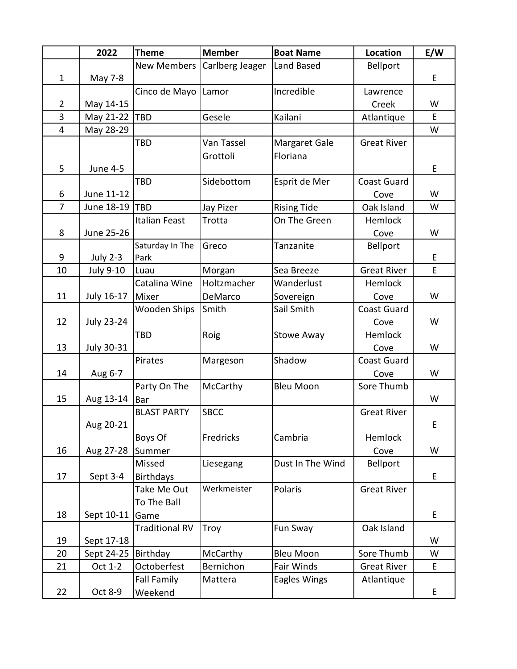|                | 2022                  | <b>Theme</b>          | <b>Member</b>   | <b>Boat Name</b>   | Location           | E/W |
|----------------|-----------------------|-----------------------|-----------------|--------------------|--------------------|-----|
|                |                       | <b>New Members</b>    | Carlberg Jeager | Land Based         | Bellport           |     |
| $\mathbf{1}$   | May 7-8               |                       |                 |                    |                    | E   |
|                |                       | Cinco de Mayo         | Lamor           | Incredible         | Lawrence           |     |
| $\overline{2}$ | May 14-15             |                       |                 |                    | Creek              | W   |
| 3              | May 21-22             | TBD                   | Gesele          | Kailani            | Atlantique         | E.  |
| 4              | May 28-29             |                       |                 |                    |                    | W   |
|                |                       | TBD                   | Van Tassel      | Margaret Gale      | <b>Great River</b> |     |
|                |                       |                       | Grottoli        | Floriana           |                    |     |
| 5              | <b>June 4-5</b>       |                       |                 |                    |                    | E   |
|                |                       | TBD                   | Sidebottom      | Esprit de Mer      | <b>Coast Guard</b> |     |
| 6              | June 11-12            |                       |                 |                    | Cove               | W   |
| 7              | June 18-19            | <b>TBD</b>            | Jay Pizer       | <b>Rising Tide</b> | Oak Island         | W   |
|                |                       | <b>Italian Feast</b>  | Trotta          | On The Green       | Hemlock            |     |
| 8              | June 25-26            |                       |                 |                    | Cove               | W   |
|                |                       | Saturday In The       | Greco           | Tanzanite          | Bellport           |     |
| 9              | <b>July 2-3</b>       | Park                  |                 |                    |                    | E   |
| 10             | <b>July 9-10</b>      | Luau                  | Morgan          | Sea Breeze         | <b>Great River</b> | E   |
|                |                       | Catalina Wine         | Holtzmacher     | Wanderlust         | Hemlock            |     |
| 11             | July 16-17            | Mixer                 | DeMarco         | Sovereign          | Cove               | W   |
|                |                       | Wooden Ships          | Smith           | Sail Smith         | <b>Coast Guard</b> |     |
| 12             | <b>July 23-24</b>     |                       |                 |                    | Cove               | W   |
|                |                       | TBD                   | Roig            | <b>Stowe Away</b>  | Hemlock            |     |
| 13             | <b>July 30-31</b>     |                       |                 |                    | Cove               | W   |
|                |                       | Pirates               | Margeson        | Shadow             | <b>Coast Guard</b> |     |
| 14             | Aug 6-7               |                       |                 |                    | Cove               | W   |
|                |                       | Party On The          | McCarthy        | <b>Bleu Moon</b>   | Sore Thumb         |     |
| 15             | Aug 13-14             | <b>Bar</b>            |                 |                    |                    | W   |
|                |                       | <b>BLAST PARTY</b>    | <b>SBCC</b>     |                    | <b>Great River</b> |     |
|                | Aug 20-21             |                       |                 |                    |                    | E   |
|                |                       | Boys Of               | Fredricks       | Cambria            | Hemlock            |     |
| 16             | Aug 27-28             | Summer                |                 |                    | Cove               | W   |
|                |                       | Missed                | Liesegang       | Dust In The Wind   | Bellport           |     |
| 17             | Sept 3-4              | <b>Birthdays</b>      |                 |                    |                    | E   |
|                |                       | Take Me Out           | Werkmeister     | Polaris            | <b>Great River</b> |     |
|                |                       | To The Ball           |                 |                    |                    |     |
| 18             | Sept 10-11 Game       |                       |                 |                    |                    | E   |
|                |                       | <b>Traditional RV</b> | Troy            | Fun Sway           | Oak Island         |     |
| 19             | Sept 17-18            |                       |                 |                    |                    | W   |
| 20             | Sept 24-25   Birthday |                       | McCarthy        | <b>Bleu Moon</b>   | Sore Thumb         | W   |
| 21             | Oct 1-2               | Octoberfest           | Bernichon       | Fair Winds         | <b>Great River</b> | E   |
|                |                       | <b>Fall Family</b>    | Mattera         | Eagles Wings       | Atlantique         |     |
| 22             | Oct 8-9               | Weekend               |                 |                    |                    | E   |
|                |                       |                       |                 |                    |                    |     |